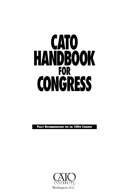# **CATO HANDBOOK FOR CONGRESS**

**POLICY RECOMMENDATIONS FOR THE 108TH CONGRESS**

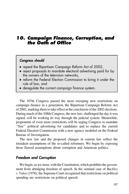## *10. Campaign Finance, Corruption, and the Oath of Office*

#### *Congress should*

- repeal the Bipartisan Campaign Reform Act of 2002,
- reject proposals to mandate electoral advertising paid for by the owners of the television networks,
- reform the Federal Election Commission to bring it under the rule of law, and
- deregulate the current campaign finance system.

The 107th Congress passed the most sweeping new restrictions on campaign finance in a generation, the Bipartisan Campaign Reform Act of 2002, marking them to take effect at the conclusion of the 2002 elections. During much of the 108th Congress, the new law, challenged the day it was signed, will be working its way through the judicial system. Meanwhile, proponents of even more restrictions will be urging Congress to mandate ''free'' political advertising for candidates and to replace the current Federal Election Commission with a new agency modeled on the Federal Bureau of Investigation.

The new law and the proposed changes in current law reflect the mistaken assumptions of the so-called reformers. We begin by exposing those flawed assumptions about corruption and American politics.

#### *Freedom and Corruption*

We begin, as we must, with the Constitution, which prohibits the government from abridging freedom of speech. In the seminal case of *Buckley v. Valeo* (1976), the Supreme Court recognized that restrictions on political spending are restrictions on political speech: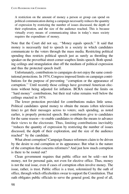A restriction on the amount of money a person or group can spend on political communication during a campaign necessarily reduces the quantity of expression by restricting the number of issues discussed, the depth of their exploration, and the size of the audience reached. This is because virtually every means of communicating ideas in today's mass society requires the expenditure of money.

Note that the Court did not say, ''Money equals speech.'' It said that money is necessarily tied to speech in a society in which candidates communicate to the voters through the mass media. Restricting political spending thus restricts political speech just as surely as throttling the speaker on the proverbial street corner soapbox limits speech. Both spending ceilings and strangulation shut off the medium of political expression and thus the protected speech itself.

Unfortunately, contributions to campaigns do not enjoy the same constitutional protections. In 1974, Congress imposed limits on campaign contributions for the purpose of preventing ''corruption or the appearance of corruption.'' Until recently those ceilings have governed American elections without being adjusted for inflation. BCRA raised the limits on ''hard money'' contributions, but their real value remains well below the ceilings enacted in 1974.

The lower protection provided for contributions makes little sense. Political candidates spend money to obtain the means (often television time) to get their messages across to voters; such spending, as noted earlier, is properly protected speech. But contributors give to candidates for the same reason—to enable candidates to obtain the means to advance their views to the electorate. Thus, limiting contributions inevitably ''reduces the quantity of expression by restricting the number of issues discussed, the depth of their exploration, and the size of the audience reached'' by the candidate.

What about corruption? Campaign finance reformers claim to be driven by the desire to end corruption or its appearance. But what is the nature of the corruption that concerns reformers? And just how much corruption is there to be rooted out?

Clean government requires that public office not be sold—not for money, not for personal gain, not even for elective office. Thus, money is not the real issue, even if cases of corruption often involve money. The issue, rather, is trust. Public office is a trust, solemnized by the oath of office, through which officeholders swear to support the Constitution. That oath obligates public officials to serve the general good, the good of all,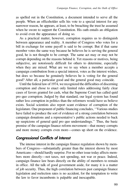as spelled out in the Constitution, a document intended to serve all the people. When an officeholder sells his vote to a special interest for any narrower reason, he appears, at least, to be breaching the trust he assumed when he swore to support the Constitution. His oath entails an obligation to avoid even the appearance of doing so.

As a practical matter, however, corruption requires us to distinguish between appearance and reality. A member of Congress who votes for a bill in exchange for some payoff is said to be corrupt. But if that same member votes the same way because he believes he is serving the general good, he is not thought to be corrupt. The same act may or may not be corrupt depending on the reasons behind it. Yet reasons or motives, being subjective, are notoriously difficult for others to determine, especially when they are mixed. What are we to say when a member accepts a campaign contribution from a special interest, votes as the interest wishes, but does so because he genuinely believes he is voting for the general good? After all, a particular good and the general good may coincide.

Until the federal law of 1974, we recognized the difficulties of discerning corruption and chose to enact only limited rules addressing fairly clear cases of favors granted for cash, what the Supreme Court has called quid pro quo corruption. Judged by that standard, our legal system has found rather less corruption in politics than the reformers would have us believe exists. Social scientists also report scant evidence of corruption of the legislature. One proponent of public financing concludes, ''Various studies have failed to produce the sort of evidence of a strong correlation between campaign donations and a representative's public actions needed to back up suspicions of general quid pro quo understandings.'' Thus, the basic premise of the campaign finance reform movement—that money corrupts and more money corrupts even more—comes up short on the evidence.

## *Congressional Conflicts of Interest*

The intense interest in the campaign finance regulation shown by members of Congress—substantially greater than the interest shown by most Americans—should hardly surprise. For no other issue today affects members more directly—not taxes, not spending, not war or peace. Indeed, campaign finance law bears directly on the ability of members to remain in office. All the talk of good government aside, for many it is a matter of job security. Thus, the high correlation between past campaign finance legislation and reelection rates is no accident, for the temptation to write the law to favor incumbents is palpable and inescapable.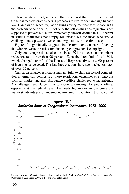There, in stark relief, is the conflict of interest that every member of Congress faces when considering proposals to reform our campaign finance law. Campaign finance regulation brings every member face to face with the problem of self-dealing—not only the self-dealing the regulations are supposed to prevent but, more immediately, the self-dealing that is inherent in writing regulations not simply for oneself but for those who would challenge one's power to write such regulations in the first place.

Figure 10.1 graphically suggests the electoral consequences of having the winners write the rules for financing congressional campaigns.

Only one congressional election since 1974 has seen an incumbent reelection rate lower than 90 percent. Even the ''revolution'' of 1994, which changed control of the House of Representatives, saw 90 percent of incumbents reelected. The last three elections have seen reelection rates of over 98 percent.

Campaign finance restrictions may not fully explain the lack of competition in American politics. But those restrictions encumber entry into the political market and thus discourage credible challenges to incumbents. A challenger needs large sums to mount a campaign for public office, especially at the federal level. He needs big money to overcome the manifest advantages of incumbency—name recognition, the power of



SOURCES: Norman J. Ornstein, Thomas E. Mann, and Michael J. Malbin, *Vital Statistics on Congress: 1999–2000* (Washington: AEI Press, 2000), p. 57; and Cato calculations.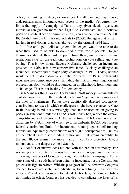office, the franking privilege, a knowledgeable staff, campaign experience, and, perhaps most important, easy access to the media. Yet current law limits the supply of campaign dollars: in any given election cycle, an individual can give no more than \$1,000 to a candidate, and a political party or a political action committee (PAC) can give no more than \$5,000. BCRA did raise the limit for individuals to \$2,000. But again that remains far less in real dollars than was allowed by the original 1974 law.

In a free and open political system, challengers would be able to do what they used to be able to do—find a few "deep pockets" to get themselves started, then build support from there, unrestrained by any restrictions save for the traditional prohibitions on vote selling and vote buying. That is how liberal Eugene McCarthy challenged an incumbent president in 1968. It is how conservative James Buckley challenged an incumbent senator and a major party challenger in 1970. Today, neither would be able to do that—thanks to the ''reforms'' of 1974. Both would incur massive compliance costs, including the risk of future litigation and prosecution. Both would be discouraged, in all likelihood, from mounting a challenge. That is not healthy for democracy.

BCRA makes things worse. By banning ''soft money''—unregulated contributions given to the political parties—Congress has complicated the lives of challengers. Parties have traditionally directed soft money contributions to races in which challengers might have a chance. A Cato Institute study found, not surprisingly, that state restrictions on giving to parties (regulations similar to BCRA's soft money ban) reduce the overall competitiveness of elections. At the same time, BCRA does not affect donations by PACs, most of which go to incumbents. BCRA does loosen federal contribution limits for incumbents running against self-funding individuals. Apparently, contributions over \$2,000 corrupt politics—unless an incumbent faces a self-funding millionaire. That strains credulity. In the end, BCRA seems little more than an incumbent protection law, a monument to the dangers of self-dealing.

But conflict of interest does not end with the ban on soft money. For several years now, interest groups have underwritten aggressive issue ads criticizing members of Congress during their reelection campaigns. To be sure, some of those ads have been unfair or inaccurate, but the Constitution protects the right to be both. With the passage of BCRA, however, Congress decided to regulate such issue advertising by redefining it as ''express advocacy'' and hence as subject to federal election law, including contribution limits. In effect, Congress has decided to complicate the lives of its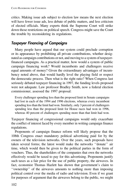critics. Making issue ads subject to election law means the next election will have fewer issue ads, less debate of public matters, and less criticism of elected officials. Many experts think the Supreme Court will strike down those restrictions on political speech. Congress might save the Court the trouble by reconsidering its regulations.

## *Taxpayer Financing of Campaigns*

Many people have argued that our system could preclude corruption or its appearance by prohibiting all private contributions, whether designated as campaign contributions or not, and moving to a system of taxpayerfinanced campaigns. As a practical matter, how would a system of public campaign financing work? Would incumbents and challengers receive equal amounts of money? Given the extraordinary advantages of incumbency noted above, that would hardly level the playing field or respect the democratic process. Then what is the right ratio? When Congress last seriously debated taxpayer financing in 1997, the funding levels proposed were not adequate. Law professor Bradley Smith, now a federal election commissioner, assessed the 1997 proposal:

Every challenger spending less than the proposed limit in Senate campaigns had lost in each of the 1994 and 1996 elections, whereas every incumbent spending less than the limit had won. Similarly, only 3 percent of challengers spending less than the proposed limit for House races had won in 1996, whereas 40 percent of challengers spending more than that limit had won.

Taxpayer financing of congressional campaigns would only exacerbate the conflict of interest faced by every member in writing campaign finance regulations.

Proponents of campaign finance reform will likely propose that the 108th Congress enact mandatory political advertising paid for by the owners of the television networks. Over the years, such proposals have taken several forms; the latest would make the networks ''donate'' air time, which would then be given to the political parties in the form of vouchers. Thus, the shareholders of the companies that own the networks effectively would be taxed to pay for this advertising. Proponents justify such taxes as a fair price for the use of public property, the airwaves. In fact, economist Thomas Hazlett has shown that government's claim to ''ownership'' of the airwaves amounts to nothing more than imposing political control over the media of radio and television. Even if we grant for purposes of argument that the airwaves belong to the public, we might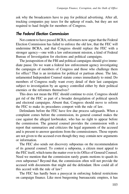ask why the broadcasters have to pay for political advertising. After all, trucking companies pay taxes for the upkeep of roads, but they are not required to haul freight for members of Congress.

### *The Federal Election Commission*

Not content to have passed BCRA, reformers now argue that the Federal Election Commission has failed to enforce the old law, that the FEC will undermine BCRA, and that Congress should replace the FEC with a stronger agency—one with a law enforcement mission, a kind of Federal Bureau of Investigation for elections and political campaigns.

The juxtaposition of the FBI and political campaigns should give immediate pause. Do we want a federal law enforcement agency investigating the campaigns of members of Congress and those who challenge them for office? That is an invitation for political or partisan abuse. The late, unlamented Independent Counsel statute comes immediately to mind. Do members of Congress really want every detail of their last campaigns subject to investigation by an agency controlled either by their political enemies or the reformers themselves?

This does not mean the FEC should continue to exist. Congress should get rid of the FEC as part of a broader deregulation of political speech and electoral campaigns. Absent that, Congress should move to reform the FEC to make its procedures comport with the rule of law.

Defendants before the FEC have few due process safeguards. When a complaint comes before the commission, its general counsel makes the case against the alleged lawbreaker, who has no right to appear before the commission. The general counsel provides the commission with a report that summarizes and criticizes the legal arguments of the accused and is present to answer questions from the commissioners. Those reports are not given to the accused even though they may contain new arguments or information.

The FEC also sends out discovery subpoenas on the recommendation of its general counsel. To contest a subpoena, a citizen must appeal to the FEC itself, which turns the matter over to its Office of General Counsel. Need we mention that the commission rarely grants motions to quash its own subpoenas? Beyond that, the commission often will not provide the accused with documents that might aid the defendant. How could all of this accord with the rule of law?

The FEC has hardly been a pussycat in enforcing federal restrictions on campaign finance. Like most burgeoning bureaucratic empires, it has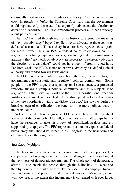continually tried to extend its regulatory authority. Consider issue advocacy. In *Buckley v. Valeo* the Supreme Court said that the government could regulate only those ads that expressly advocated the election or defeat of a candidate. The First Amendment protects all other advocacy about political issues.

The FEC has tried through most of its history to expand the meaning of ''express advocacy'' beyond explicit words advocating the election or defeat of a candidate. Time and again courts have rejected those grabs for more power. Thus, in 1997 a federal court struck down an FEC regulation redefining express advocacy, concluding that the commission's argument that ''no words of advocacy are necessary to expressly advocate the election of a candidate'' could not have been offered in good faith. Far from weak, the FEC's stance on express advocacy has defied judicial authority and tended toward lawlessness.

The FEC has attacked political speech in other ways as well. Thus, the government can constitutionally regulate ''political committees.'' Some people on the FEC argue that spending on issue advocacy, a protected freedom, makes a group a political committee and thus subjects it to regulation. In the Orwellian world of the FEC, a constitutional freedom justifies government coercion. Federal law also regulates electoral activities if they are coordinated with a candidate. The FEC has always pushed a broad concept of coordination, the better to bring more political activity under its control.

Not surprisingly those aggressive FEC attacks have chilled political activities at the grassroots. After all, individuals and small groups hardly have the resources to take on a bevy of specialized, zealous lawyers supported by taxpayers. The FEC represents yet another expansive federal bureaucracy that should be reined in by Congress in the near term and eliminated over the long term.

# *The Real Problem*

The laws we now have on the books have made our politics less competitive by favoring incumbents over challengers, thereby striking at the very heart of democratic government. The whole point of democracy, after all, is to enable the people, through the ballot box, to select and thereby control those who govern. To the extent that campaign finance law undermines that power, it undermines democracy. Moreover, as we will now see, to the extent that incumbency is correlated with ever-larger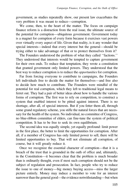government, as studies repeatedly show, our present law exacerbates the very problem it was meant to reduce—corruption.

We come, then, to the heart of the matter. The focus on campaign finance reform is a distraction from the real issue, the ultimate source of the potential for corruption—ubiquitous government. Government today is a magnet for corruption of every form because it exercises vast powers over virtually every aspect of life. Given that reality, is it any wonder that special interests—indeed that every interest but the general—should be trying either to take advantage of that or to protect themselves from it?

The Founders understood the problem of what they called ''factions.'' They understood that interests would be tempted to capture government for their own ends. To reduce that temptation, they wrote a constitution that granted government only limited powers. They understood that the best way to reduce corruption is to reduce the *opportunities* for corruption.

Far from forcing everyone to contribute to campaigns, the Founders left individuals free to decide the matter for themselves—and free also to decide how much to contribute. The Founders were mindful of the potential for real corruption, which they left to traditional legal means to ferret out. They had a pair of better ideas about how to handle the various forms of corruption. The first was to rely on competition, to construct a system that enabled interest to be pitted against interest. There is no shortage, after all, of special interests. But if you fetter them all, through some grand regulatory scheme, you stifle the natural forces that are necessary for the health of the system. No individual, no committee of Congress, no blue-ribbon committee of elders, can fine-tune the system of political competition. It has to be free to seek its own equilibrium.

The second idea was equally simple, yet equally profound: limit power in the first place, the better to limit the opportunities for corruption. After all, if a member of Congress has only limited power to sell, there will be limited opportunities to buy. That will not eliminate all corruption, of course, but it will greatly reduce it.

Once we recognize the essential character of corruption—that it is a breach of the trust that is grounded in the oath of office and, ultimately, in the Constitution—it becomes clear that the problem is much broader than is ordinarily thought, even if most such corruption should not be the subject of regulation and prosecution. In fact, people who try to reduce the issue to one of money—big money buying access—miss the larger picture entirely. Money may induce a member to vote for an interest narrower than the general good—the evidence notwithstanding—but when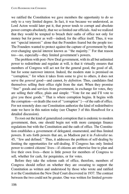we ratified the Constitution we gave members the opportunity to do so only to a very limited degree. In fact, it was because we understood, as Lord Acton would later put it, that power tends to corrupt and absolute power corrupts absolutely, that we so limited our officials. And we realized that they would be tempted to breach their oaths of office not only for money but for power as well—indeed, for the office itself. Thus, it was not ''special interests'' alone that the Founders feared but the people too: The Founders wanted to protect against the capture of government by that ever-changing special interest known as ''the majority.'' For that reason too—no, especially—they limited government's powers.

The problem with post–New Deal government, with its all but unlimited power to redistribute and regulate at will, is that it virtually ensures that members of Congress will act not for the general good, the good of all, but for some narrower interest. Indeed, the modern state is premised on ''corruption,'' for when it takes from some to give to others, it does not serve the *general* good—and cannot, *by definition.* Thus, candidates find themselves selling their office right from the start. When they promise ''free'' goods and services from government, in exchange for votes, they are selling their office, plain and simple: ''Vote for me and I'll vote to give you these goods.'' That is where corruption begins. It begins with the corruption—or death (the root of ''corruption''}—of the oath of office. For not remotely does our Constitution authorize the kind of redistributive state we have in this nation today (see Chapter 3 of this *Handbook* for a detailed discussion).

To root out the kind of generalized corruption that is endemic to modern government, then, one should begin not with more campaign finance regulations but with the Constitution and the oath of office. The Constitution establishes a government of delegated, enumerated, and thus limited powers. It sets forth powers that are, as Madison put it in *Federalist* no. 45, ''few and defined.'' Thus, it addresses the problem of self-dealing by limiting the opportunities for self-dealing. If Congress has only limited power to control citizens' lives—if citizens are otherwise free to plan and live their own lives—there is little power for members of Congress to sell, whether for cash, for perquisites, or for votes.

Before they take the solemn oath of office, therefore, members of Congress should reflect on whether they are swearing to support the Constitution as written and understood by those who wrote and ratified it or the Constitution the New Deal Court discovered in 1937. The contrast between the two could not be greater. One was written for limited govern